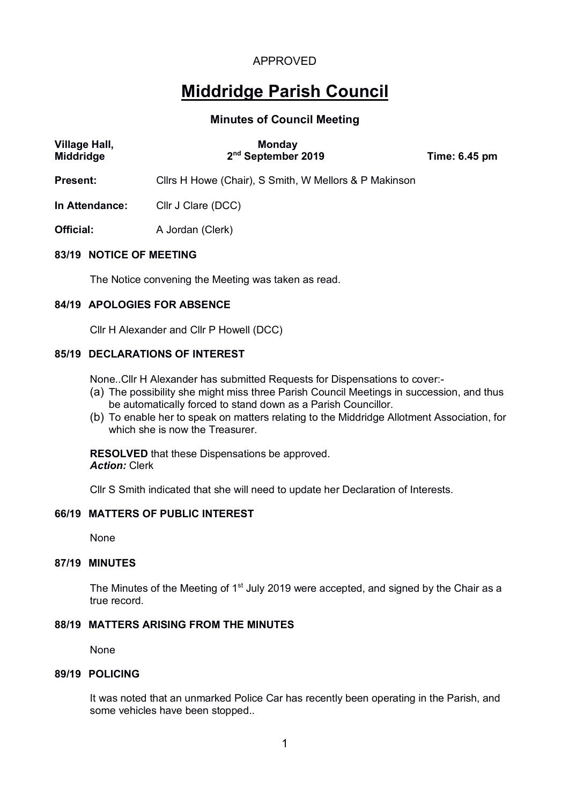# **Middridge Parish Council**

# **Minutes of Council Meeting**

| Village Hall,<br><b>Middridge</b> | <b>Monday</b><br>2 <sup>nd</sup> September 2019       | Time: 6.45 pm |  |  |
|-----------------------------------|-------------------------------------------------------|---------------|--|--|
| <b>Present:</b>                   | Cllrs H Howe (Chair), S Smith, W Mellors & P Makinson |               |  |  |
| In Attendance:                    | Cllr J Clare (DCC)                                    |               |  |  |
| Official:                         | A Jordan (Clerk)                                      |               |  |  |
| 83/19 NOTICE OF MEETING           |                                                       |               |  |  |

The Notice convening the Meeting was taken as read.

# **84/19 APOLOGIES FOR ABSENCE**

Cllr H Alexander and Cllr P Howell (DCC)

# **85/19 DECLARATIONS OF INTEREST**

None..Cllr H Alexander has submitted Requests for Dispensations to cover:-

- (a) The possibility she might miss three Parish Council Meetings in succession, and thus be automatically forced to stand down as a Parish Councillor.
- (b) To enable her to speak on matters relating to the Middridge Allotment Association, for which she is now the Treasurer.

**RESOLVED** that these Dispensations be approved. *Action:* Clerk

Cllr S Smith indicated that she will need to update her Declaration of Interests.

# **66/19 MATTERS OF PUBLIC INTEREST**

None

#### **87/19 MINUTES**

The Minutes of the Meeting of 1<sup>st</sup> July 2019 were accepted, and signed by the Chair as a true record.

# **88/19 MATTERS ARISING FROM THE MINUTES**

None

# **89/19 POLICING**

It was noted that an unmarked Police Car has recently been operating in the Parish, and some vehicles have been stopped..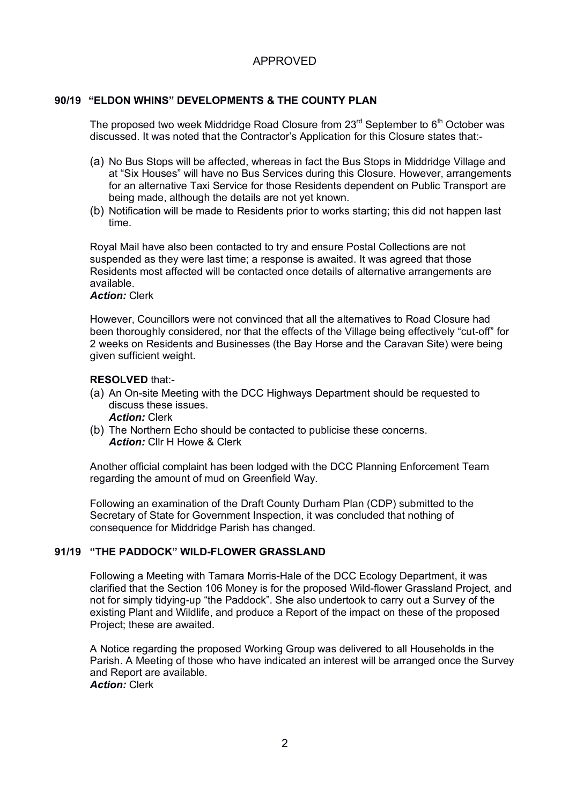# **90/19 "ELDON WHINS" DEVELOPMENTS & THE COUNTY PLAN**

The proposed two week Middridge Road Closure from 23<sup>rd</sup> September to 6<sup>th</sup> October was discussed. It was noted that the Contractor's Application for this Closure states that:-

- (a) No Bus Stops will be affected, whereas in fact the Bus Stops in Middridge Village and at "Six Houses" will have no Bus Services during this Closure. However, arrangements for an alternative Taxi Service for those Residents dependent on Public Transport are being made, although the details are not yet known.
- (b) Notification will be made to Residents prior to works starting; this did not happen last time.

Royal Mail have also been contacted to try and ensure Postal Collections are not suspended as they were last time; a response is awaited. It was agreed that those Residents most affected will be contacted once details of alternative arrangements are available.

#### *Action:* Clerk

However, Councillors were not convinced that all the alternatives to Road Closure had been thoroughly considered, nor that the effects of the Village being effectively "cut-off" for 2 weeks on Residents and Businesses (the Bay Horse and the Caravan Site) were being given sufficient weight.

## **RESOLVED** that:-

(a) An On-site Meeting with the DCC Highways Department should be requested to discuss these issues.

*Action:* Clerk

(b) The Northern Echo should be contacted to publicise these concerns. *Action:* Cllr H Howe & Clerk

Another official complaint has been lodged with the DCC Planning Enforcement Team regarding the amount of mud on Greenfield Way.

Following an examination of the Draft County Durham Plan (CDP) submitted to the Secretary of State for Government Inspection, it was concluded that nothing of consequence for Middridge Parish has changed.

# **91/19 "THE PADDOCK" WILD-FLOWER GRASSLAND**

Following a Meeting with Tamara Morris-Hale of the DCC Ecology Department, it was clarified that the Section 106 Money is for the proposed Wild-flower Grassland Project, and not for simply tidying-up "the Paddock". She also undertook to carry out a Survey of the existing Plant and Wildlife, and produce a Report of the impact on these of the proposed Project; these are awaited.

A Notice regarding the proposed Working Group was delivered to all Households in the Parish. A Meeting of those who have indicated an interest will be arranged once the Survey and Report are available. *Action:* Clerk

 $\mathcal{P}$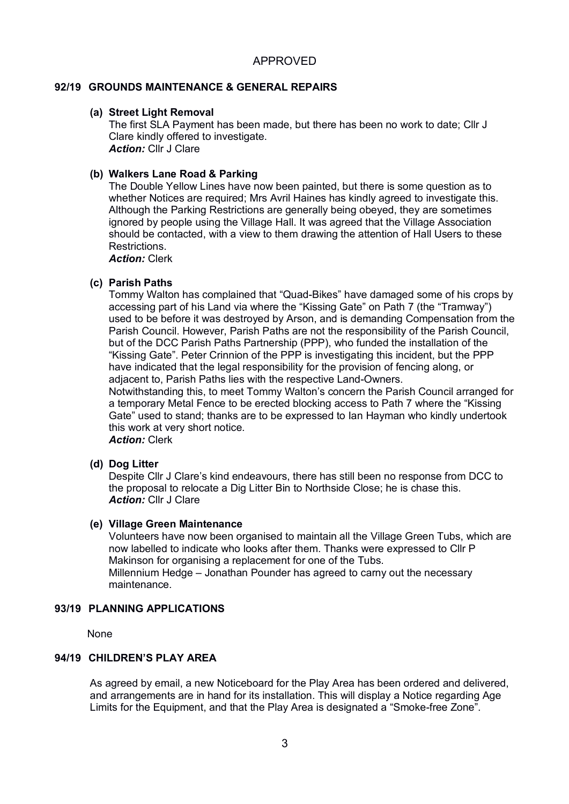# **92/19 GROUNDS MAINTENANCE & GENERAL REPAIRS**

# **(a) Street Light Removal**

The first SLA Payment has been made, but there has been no work to date; Cllr J Clare kindly offered to investigate. *Action:* Cllr J Clare

# **(b) Walkers Lane Road & Parking**

The Double Yellow Lines have now been painted, but there is some question as to whether Notices are required; Mrs Avril Haines has kindly agreed to investigate this. Although the Parking Restrictions are generally being obeyed, they are sometimes ignored by people using the Village Hall. It was agreed that the Village Association should be contacted, with a view to them drawing the attention of Hall Users to these Restrictions.

*Action:* Clerk

# **(c) Parish Paths**

Tommy Walton has complained that "Quad-Bikes" have damaged some of his crops by accessing part of his Land via where the "Kissing Gate" on Path 7 (the "Tramway") used to be before it was destroyed by Arson, and is demanding Compensation from the Parish Council. However, Parish Paths are not the responsibility of the Parish Council, but of the DCC Parish Paths Partnership (PPP), who funded the installation of the "Kissing Gate". Peter Crinnion of the PPP is investigating this incident, but the PPP have indicated that the legal responsibility for the provision of fencing along, or adjacent to, Parish Paths lies with the respective Land-Owners.

Notwithstanding this, to meet Tommy Walton's concern the Parish Council arranged for a temporary Metal Fence to be erected blocking access to Path 7 where the "Kissing Gate" used to stand; thanks are to be expressed to Ian Hayman who kindly undertook this work at very short notice.

*Action:* Clerk

#### **(d) Dog Litter**

Despite Cllr J Clare's kind endeavours, there has still been no response from DCC to the proposal to relocate a Dig Litter Bin to Northside Close; he is chase this. *Action:* Cllr J Clare

#### **(e) Village Green Maintenance**

Volunteers have now been organised to maintain all the Village Green Tubs, which are now labelled to indicate who looks after them. Thanks were expressed to Cllr P Makinson for organising a replacement for one of the Tubs. Millennium Hedge – Jonathan Pounder has agreed to carny out the necessary maintenance.

#### **93/19 PLANNING APPLICATIONS**

None

# **94/19 CHILDREN'S PLAY AREA**

As agreed by email, a new Noticeboard for the Play Area has been ordered and delivered, and arrangements are in hand for its installation. This will display a Notice regarding Age Limits for the Equipment, and that the Play Area is designated a "Smoke-free Zone".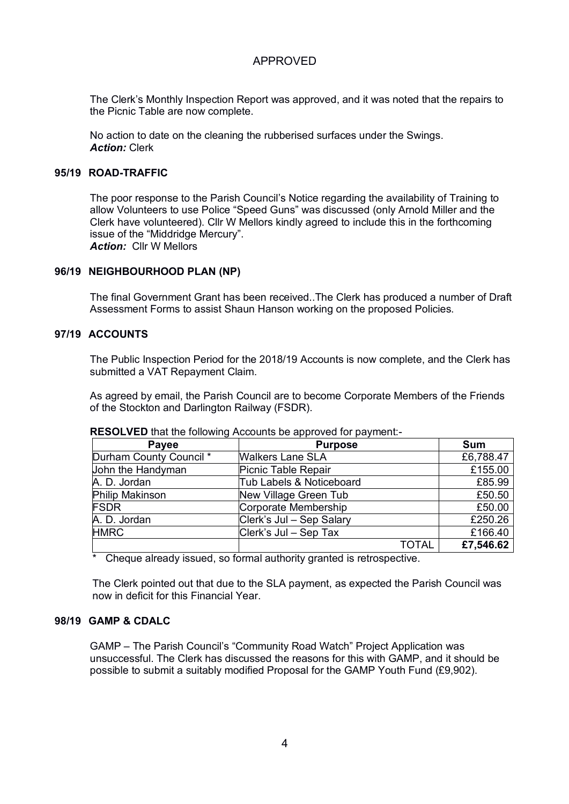The Clerk's Monthly Inspection Report was approved, and it was noted that the repairs to the Picnic Table are now complete.

No action to date on the cleaning the rubberised surfaces under the Swings. *Action:* Clerk

# **95/19 ROAD-TRAFFIC**

The poor response to the Parish Council's Notice regarding the availability of Training to allow Volunteers to use Police "Speed Guns" was discussed (only Arnold Miller and the Clerk have volunteered). Cllr W Mellors kindly agreed to include this in the forthcoming issue of the "Middridge Mercury". *Action:* Cllr W Mellors

#### **96/19 NEIGHBOURHOOD PLAN (NP)**

The final Government Grant has been received..The Clerk has produced a number of Draft Assessment Forms to assist Shaun Hanson working on the proposed Policies.

# **97/19 ACCOUNTS**

The Public Inspection Period for the 2018/19 Accounts is now complete, and the Clerk has submitted a VAT Repayment Claim.

As agreed by email, the Parish Council are to become Corporate Members of the Friends of the Stockton and Darlington Railway (FSDR).

| Payee                   | <b>Purpose</b>           | <b>Sum</b> |
|-------------------------|--------------------------|------------|
| Durham County Council * | <b>Walkers Lane SLA</b>  | £6,788.47  |
| John the Handyman       | Picnic Table Repair      | £155.00    |
| A. D. Jordan            | Tub Labels & Noticeboard | £85.99     |
| <b>Philip Makinson</b>  | New Village Green Tub    | £50.50     |
| <b>FSDR</b>             | Corporate Membership     | £50.00     |
| A. D. Jordan            | Clerk's Jul - Sep Salary | £250.26    |
| <b>HMRC</b>             | Clerk's Jul - Sep Tax    | £166.40    |
|                         | <b>TOTAL</b>             | £7,546.62  |

#### **RESOLVED** that the following Accounts be approved for payment:-

\* Cheque already issued, so formal authority granted is retrospective.

The Clerk pointed out that due to the SLA payment, as expected the Parish Council was now in deficit for this Financial Year.

# **98/19 GAMP & CDALC**

GAMP – The Parish Council's "Community Road Watch" Project Application was unsuccessful. The Clerk has discussed the reasons for this with GAMP, and it should be possible to submit a suitably modified Proposal for the GAMP Youth Fund (£9,902).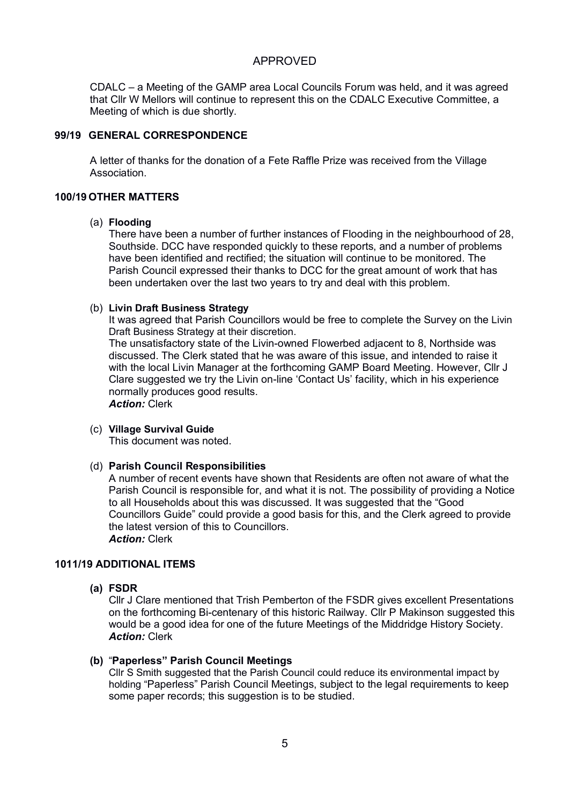CDALC – a Meeting of the GAMP area Local Councils Forum was held, and it was agreed that Cllr W Mellors will continue to represent this on the CDALC Executive Committee, a Meeting of which is due shortly.

# **99/19 GENERAL CORRESPONDENCE**

A letter of thanks for the donation of a Fete Raffle Prize was received from the Village Association.

# **100/19 OTHER MATTERS**

#### (a) **Flooding**

There have been a number of further instances of Flooding in the neighbourhood of 28, Southside. DCC have responded quickly to these reports, and a number of problems have been identified and rectified; the situation will continue to be monitored. The Parish Council expressed their thanks to DCC for the great amount of work that has been undertaken over the last two years to try and deal with this problem.

## (b) **Livin Draft Business Strategy**

It was agreed that Parish Councillors would be free to complete the Survey on the Livin Draft Business Strategy at their discretion.

The unsatisfactory state of the Livin-owned Flowerbed adjacent to 8, Northside was discussed. The Clerk stated that he was aware of this issue, and intended to raise it with the local Livin Manager at the forthcoming GAMP Board Meeting. However, Cllr J Clare suggested we try the Livin on-line 'Contact Us' facility, which in his experience normally produces good results. *Action:* Clerk

#### (c) **Village Survival Guide**

This document was noted.

#### (d) **Parish Council Responsibilities**

A number of recent events have shown that Residents are often not aware of what the Parish Council is responsible for, and what it is not. The possibility of providing a Notice to all Households about this was discussed. It was suggested that the "Good Councillors Guide" could provide a good basis for this, and the Clerk agreed to provide the latest version of this to Councillors. *Action:* Clerk

# **1011/19 ADDITIONAL ITEMS**

**(a) FSDR**

Cllr J Clare mentioned that Trish Pemberton of the FSDR gives excellent Presentations on the forthcoming Bi-centenary of this historic Railway. Cllr P Makinson suggested this would be a good idea for one of the future Meetings of the Middridge History Society. *Action:* Clerk

# **(b)** "**Paperless" Parish Council Meetings**

Cllr S Smith suggested that the Parish Council could reduce its environmental impact by holding "Paperless" Parish Council Meetings, subject to the legal requirements to keep some paper records; this suggestion is to be studied.